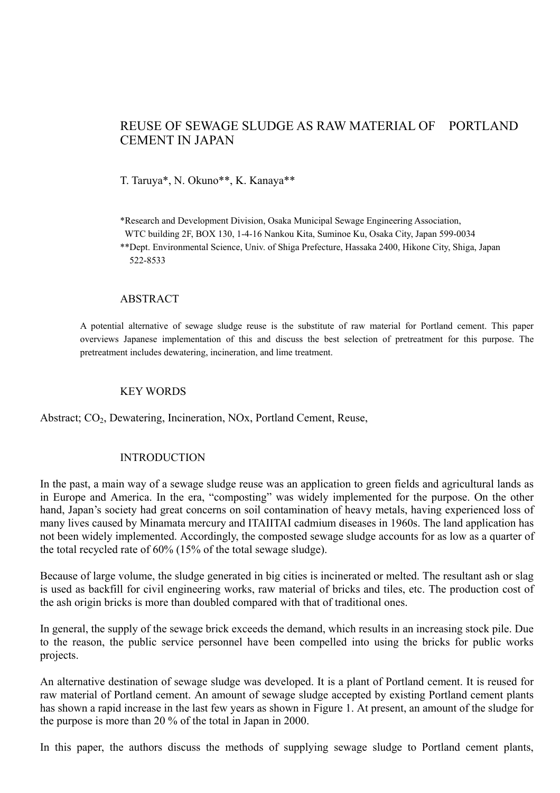# REUSE OF SEWAGE SLUDGE AS RAW MATERIAL OF PORTLAND CEMENT IN JAPAN

T. Taruya\*, N. Okuno\*\*, K. Kanaya\*\*

\*Research and Development Division, Osaka Municipal Sewage Engineering Association,

WTC building 2F, BOX 130, 1-4-16 Nankou Kita, Suminoe Ku, Osaka City, Japan 599-0034

\*\*Dept. Environmental Science, Univ. of Shiga Prefecture, Hassaka 2400, Hikone City, Shiga, Japan 522-8533

### ABSTRACT

A potential alternative of sewage sludge reuse is the substitute of raw material for Portland cement. This paper overviews Japanese implementation of this and discuss the best selection of pretreatment for this purpose. The pretreatment includes dewatering, incineration, and lime treatment.

### KEY WORDS

Abstract; CO<sub>2</sub>, Dewatering, Incineration, NO<sub>x</sub>, Portland Cement, Reuse,

### INTRODUCTION

In the past, a main way of a sewage sludge reuse was an application to green fields and agricultural lands as in Europe and America. In the era, "composting" was widely implemented for the purpose. On the other hand, Japan's society had great concerns on soil contamination of heavy metals, having experienced loss of many lives caused by Minamata mercury and ITAIITAI cadmium diseases in 1960s. The land application has not been widely implemented. Accordingly, the composted sewage sludge accounts for as low as a quarter of the total recycled rate of 60% (15% of the total sewage sludge).

Because of large volume, the sludge generated in big cities is incinerated or melted. The resultant ash or slag is used as backfill for civil engineering works, raw material of bricks and tiles, etc. The production cost of the ash origin bricks is more than doubled compared with that of traditional ones.

In general, the supply of the sewage brick exceeds the demand, which results in an increasing stock pile. Due to the reason, the public service personnel have been compelled into using the bricks for public works projects.

An alternative destination of sewage sludge was developed. It is a plant of Portland cement. It is reused for raw material of Portland cement. An amount of sewage sludge accepted by existing Portland cement plants has shown a rapid increase in the last few years as shown in Figure 1. At present, an amount of the sludge for the purpose is more than 20 % of the total in Japan in 2000.

In this paper, the authors discuss the methods of supplying sewage sludge to Portland cement plants,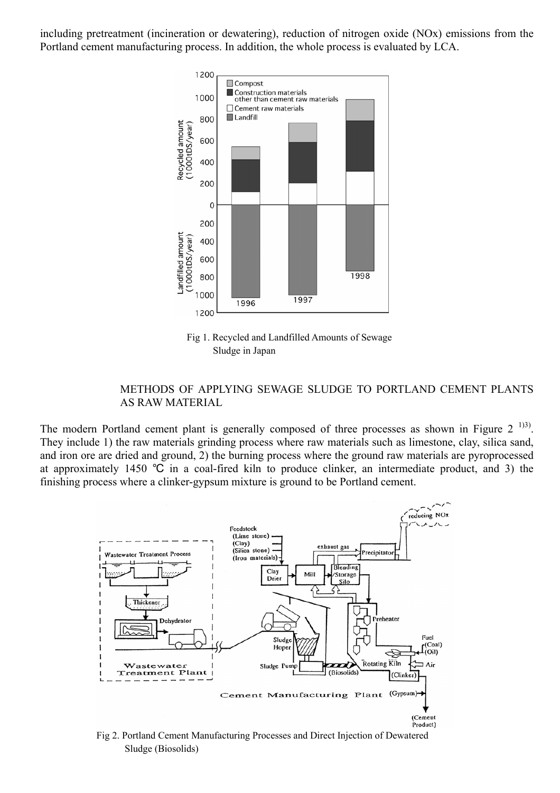including pretreatment (incineration or dewatering), reduction of nitrogen oxide (NOx) emissions from the Portland cement manufacturing process. In addition, the whole process is evaluated by LCA.



 Fig 1. Recycled and Landfilled Amounts of Sewage Sludge in Japan

## METHODS OF APPLYING SEWAGE SLUDGE TO PORTLAND CEMENT PLANTS AS RAW MATERIAL

The modern Portland cement plant is generally composed of three processes as shown in Figure  $2<sup>-133</sup>$ . They include 1) the raw materials grinding process where raw materials such as limestone, clay, silica sand, and iron ore are dried and ground, 2) the burning process where the ground raw materials are pyroprocessed at approximately 1450 ℃ in a coal-fired kiln to produce clinker, an intermediate product, and 3) the finishing process where a clinker-gypsum mixture is ground to be Portland cement.



 Fig 2. Portland Cement Manufacturing Processes and Direct Injection of Dewatered Sludge (Biosolids)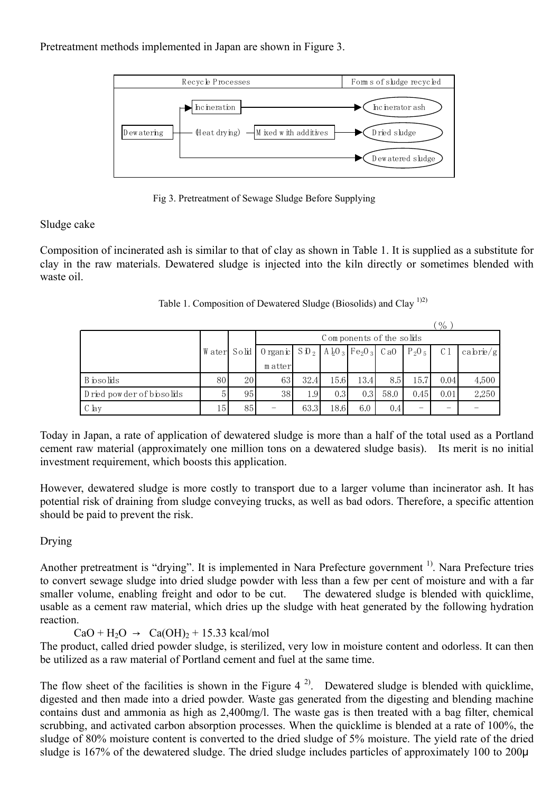## Pretreatment methods implemented in Japan are shown in Figure 3.



Fig 3. Pretreatment of Sewage Sludge Before Supplying

# Sludge cake

Composition of incinerated ash is similar to that of clay as shown in Table 1. It is supplied as a substitute for clay in the raw materials. Dewatered sludge is injected into the kiln directly or sometimes blended with waste oil.

|                           |             |                          |                             |      |      |                                                             |      |          | $\frac{1}{2}$ |                             |
|---------------------------|-------------|--------------------------|-----------------------------|------|------|-------------------------------------------------------------|------|----------|---------------|-----------------------------|
|                           |             | Components of the solids |                             |      |      |                                                             |      |          |               |                             |
|                           | Water Solid |                          | $0$ rgan $\dot{\mathbf{r}}$ |      |      | $S$ 10 $_2$   A $_2$ 0 $_3$   Fe <sub>2</sub> 0 $_3$   C a0 |      | $P_2O_5$ | C 1           | $\langle \text{cabrie/g}  $ |
|                           |             |                          | matter                      |      |      |                                                             |      |          |               |                             |
| B iosolids                | 80          | 20                       | 63                          | 32.4 | 15.6 | 13.4                                                        | 8.5  | 15.7     | 0.04          | 4,500                       |
| Dried powder of biosolids |             | 95                       | 38                          | 1.9  | 0.3  | 0.3                                                         | 58.0 | 0.45     | 0.01          | 2,250                       |
| $C$ lay                   | 15          | 85                       |                             | 63.3 | 18.6 | 6.0                                                         | 0.4  | -        |               |                             |

Table 1. Composition of Dewatered Sludge (Biosolids) and Clay  $^{1/2}$ )

Today in Japan, a rate of application of dewatered sludge is more than a half of the total used as a Portland cement raw material (approximately one million tons on a dewatered sludge basis). Its merit is no initial investment requirement, which boosts this application.

However, dewatered sludge is more costly to transport due to a larger volume than incinerator ash. It has potential risk of draining from sludge conveying trucks, as well as bad odors. Therefore, a specific attention should be paid to prevent the risk.

# Drying

Another pretreatment is "drying". It is implemented in Nara Prefecture government <sup>1)</sup>. Nara Prefecture tries to convert sewage sludge into dried sludge powder with less than a few per cent of moisture and with a far smaller volume, enabling freight and odor to be cut. The dewatered sludge is blended with quicklime, usable as a cement raw material, which dries up the sludge with heat generated by the following hydration reaction.

 $CaO + H<sub>2</sub>O \rightarrow Ca(OH)<sub>2</sub> + 15.33 kcal/mol$ 

The product, called dried powder sludge, is sterilized, very low in moisture content and odorless. It can then be utilized as a raw material of Portland cement and fuel at the same time.

The flow sheet of the facilities is shown in the Figure  $4^{2}$ . Dewatered sludge is blended with quicklime, digested and then made into a dried powder. Waste gas generated from the digesting and blending machine contains dust and ammonia as high as 2,400mg/l. The waste gas is then treated with a bag filter, chemical scrubbing, and activated carbon absorption processes. When the quicklime is blended at a rate of 100%, the sludge of 80% moisture content is converted to the dried sludge of 5% moisture. The yield rate of the dried sludge is 167% of the dewatered sludge. The dried sludge includes particles of approximately 100 to 200 $\mu$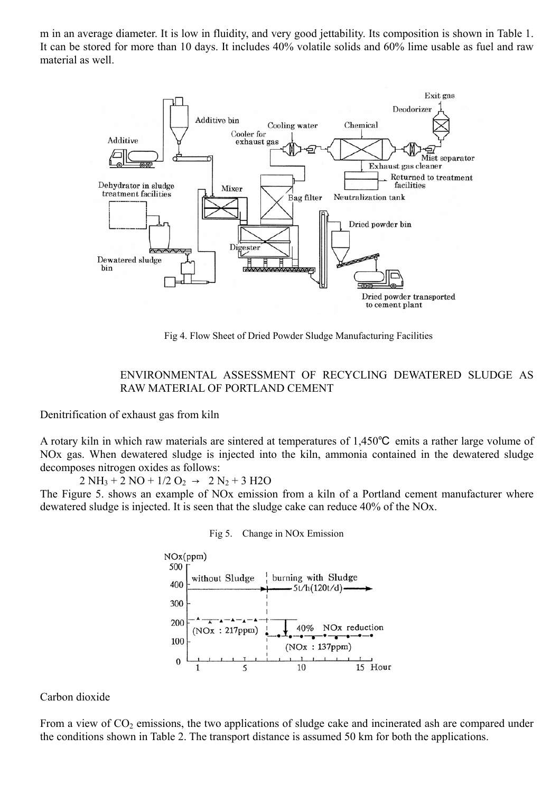m in an average diameter. It is low in fluidity, and very good jettability. Its composition is shown in Table 1. It can be stored for more than 10 days. It includes 40% volatile solids and 60% lime usable as fuel and raw material as well.



Fig 4. Flow Sheet of Dried Powder Sludge Manufacturing Facilities

## ENVIRONMENTAL ASSESSMENT OF RECYCLING DEWATERED SLUDGE AS RAW MATERIAL OF PORTLAND CEMENT

Denitrification of exhaust gas from kiln

A rotary kiln in which raw materials are sintered at temperatures of 1,450℃ emits a rather large volume of NOx gas. When dewatered sludge is injected into the kiln, ammonia contained in the dewatered sludge decomposes nitrogen oxides as follows:

 $2 NH_3 + 2 NO + 1/2 O_2 \rightarrow 2 N_2 + 3 H2O$ 

The Figure 5. shows an example of NOx emission from a kiln of a Portland cement manufacturer where dewatered sludge is injected. It is seen that the sludge cake can reduce 40% of the NOx.





Carbon dioxide

From a view of  $CO<sub>2</sub>$  emissions, the two applications of sludge cake and incinerated ash are compared under the conditions shown in Table 2. The transport distance is assumed 50 km for both the applications.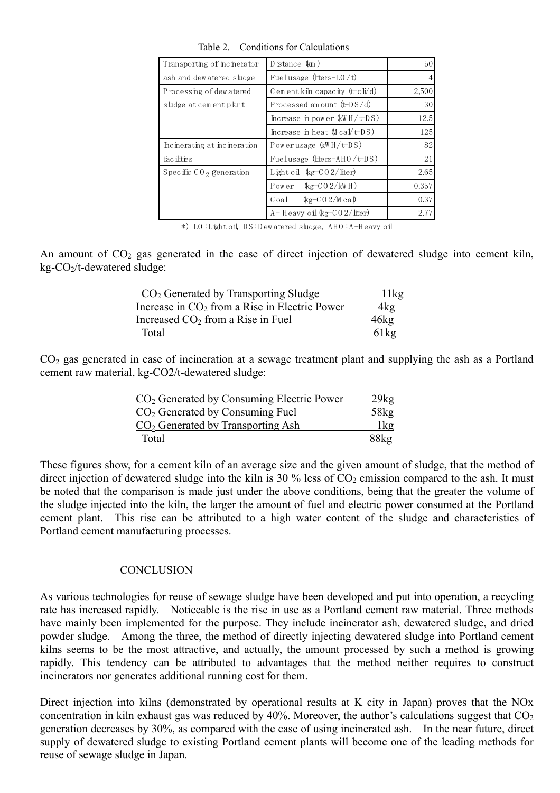| Transporting of incinerator  | Distance (km)                         | 50 <sup>1</sup> |
|------------------------------|---------------------------------------|-----------------|
| ash and dewatered sludge     | Fuelusage (liters-L0/t)               | 4               |
| Processing of dew atered     | C em ent kih capacity $(t-cI)/d$      | 2,500           |
| sludge at cement plant       | Processed amount $(t-DS/d)$           | 30 <sup>l</sup> |
|                              | Increase in power $\&$ H/t-DS)        | 12.5            |
|                              | Increase in heat $M \text{ cal/t-DS}$ | 125             |
| Incinerating at incineration | Powerusage (kWH/t-DS)                 | 82              |
| fac ilities                  | Fuelusage (liters-AHO/t-DS)           | 21              |
| Specific $CO_2$ generation   | Light oil $\frac{kg-C02}{liter}$      | 2.65            |
|                              | Power $\&g-C02/kWH$ )                 | 0.357           |
|                              | Coal $\&g$ -CO2/Mcal                  | 0.37            |
|                              | $A$ – Heavy oil $kg$ – $CO$ 2/liter)  | 2.77            |

Table 2. Conditions for Calculations

\*) LO: Light oil, DS: D ew atered sludge, AHO: A-H eavy oil

An amount of  $CO<sub>2</sub>$  gas generated in the case of direct injection of dewatered sludge into cement kiln,  $kg$ - $CO_2/t$ -dewatered sludge:

| $CO2$ Generated by Transporting Sludge          | 11kg    |
|-------------------------------------------------|---------|
| Increase in $CO2$ from a Rise in Electric Power | 4kg     |
| Increased $CO2$ from a Rise in Fuel             | 46kg    |
| Total                                           | $61k$ g |

 $CO<sub>2</sub>$  gas generated in case of incineration at a sewage treatment plant and supplying the ash as a Portland cement raw material, kg-CO2/t-dewatered sludge:

| $CO2$ Generated by Consuming Electric Power | 29kg |
|---------------------------------------------|------|
| $CO2$ Generated by Consuming Fuel           | 58kg |
| $CO2$ Generated by Transporting Ash         | lkg  |
| Total                                       | 88kg |

These figures show, for a cement kiln of an average size and the given amount of sludge, that the method of direct injection of dewatered sludge into the kiln is 30 % less of  $CO_2$  emission compared to the ash. It must be noted that the comparison is made just under the above conditions, being that the greater the volume of the sludge injected into the kiln, the larger the amount of fuel and electric power consumed at the Portland cement plant. This rise can be attributed to a high water content of the sludge and characteristics of Portland cement manufacturing processes.

#### **CONCLUSION**

As various technologies for reuse of sewage sludge have been developed and put into operation, a recycling rate has increased rapidly. Noticeable is the rise in use as a Portland cement raw material. Three methods have mainly been implemented for the purpose. They include incinerator ash, dewatered sludge, and dried powder sludge. Among the three, the method of directly injecting dewatered sludge into Portland cement kilns seems to be the most attractive, and actually, the amount processed by such a method is growing rapidly. This tendency can be attributed to advantages that the method neither requires to construct incinerators nor generates additional running cost for them.

Direct injection into kilns (demonstrated by operational results at K city in Japan) proves that the NOx concentration in kiln exhaust gas was reduced by 40%. Moreover, the author's calculations suggest that  $CO<sub>2</sub>$ generation decreases by 30%, as compared with the case of using incinerated ash. In the near future, direct supply of dewatered sludge to existing Portland cement plants will become one of the leading methods for reuse of sewage sludge in Japan.